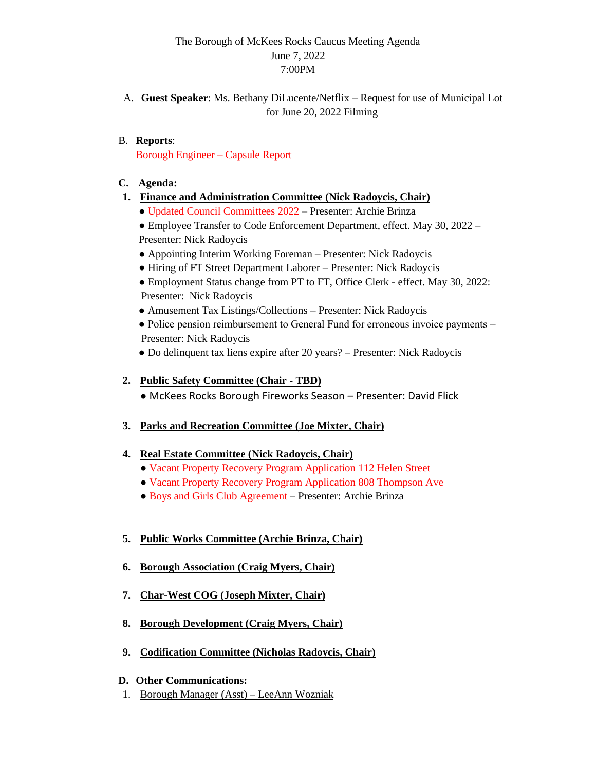# The Borough of McKees Rocks Caucus Meeting Agenda June 7, 2022 7:00PM

A. **Guest Speaker**: Ms. Bethany DiLucente/Netflix – Request for use of Municipal Lot for June 20, 2022 Filming

### B. **Reports**:

Borough Engineer – Capsule Report

- **C. Agenda:**
- **1. Finance and Administration Committee (Nick Radoycis, Chair)**
	- Updated Council Committees 2022 Presenter: Archie Brinza

• Employee Transfer to Code Enforcement Department, effect. May 30, 2022 – Presenter: Nick Radoycis

- Appointing Interim Working Foreman Presenter: Nick Radoycis
- Hiring of FT Street Department Laborer Presenter: Nick Radoycis
- Employment Status change from PT to FT, Office Clerk effect. May 30, 2022: Presenter: Nick Radoycis
- Amusement Tax Listings/Collections Presenter: Nick Radoycis
- Police pension reimbursement to General Fund for erroneous invoice payments Presenter: Nick Radoycis
- Do delinquent tax liens expire after 20 years? Presenter: Nick Radoycis

### **2. Public Safety Committee (Chair - TBD)**

● McKees Rocks Borough Fireworks Season – Presenter: David Flick

#### **3. Parks and Recreation Committee (Joe Mixter, Chair)**

#### **4. Real Estate Committee (Nick Radoycis, Chair)**

- Vacant Property Recovery Program Application 112 Helen Street
- Vacant Property Recovery Program Application 808 Thompson Ave
- Boys and Girls Club Agreement Presenter: Archie Brinza

#### **5. Public Works Committee (Archie Brinza, Chair)**

- **6. Borough Association (Craig Myers, Chair)**
- **7. Char-West COG (Joseph Mixter, Chair)**
- **8. Borough Development (Craig Myers, Chair)**
- **9. Codification Committee (Nicholas Radoycis, Chair)**

#### **D. Other Communications:**

1. Borough Manager (Asst) – LeeAnn Wozniak